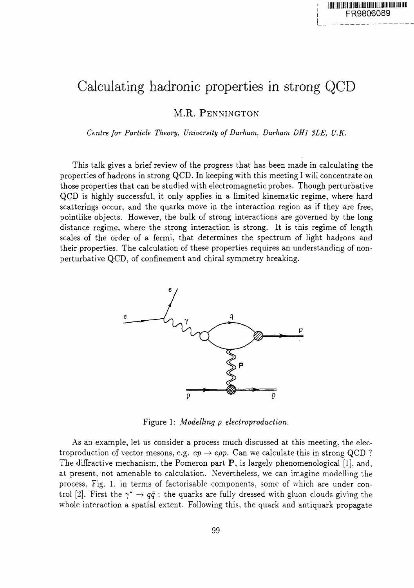## Calculating hadronic properties in strong QCD

M.R. PENNINGTON

*Centre for Particle Theory, University of Durham, Durham DHl 3LE, U.K.*

This talk gives a brief review of the progress that has been made in calculating the properties of hadrons in strong QCD. In keeping with this meeting I will concentrate on those properties that can be studied with electromagnetic probes. Though perturbative QCD is highly successful, it only applies in a limited kinematic regime, where hard scatterings occur, and the quarks move in the interaction region as if they are free, pointlike objects. However, the bulk of strong interactions are governed by the long distance regime, where the strong interaction is strong. It is this regime of length scales of the order of a fermi, that determines the spectrum of light hadrons and their properties. The calculation of these properties requires an understanding of nonperturbative QCD, of confinement and chiral symmetry breaking.



Figure 1: *Modelling p electroproduction.*

As an example, let us consider a process much discussed at this meeting, the electroproduction of vector mesons, e.g.  $ep \rightarrow epp$ . Can we calculate this in strong QCD? The diffractive mechanism, the Pomeron part  $P$ , is largely phenomenological [1], and, at present, not amenable to calculation. Nevertheless, we can imagine modelling the process. Fig. 1. in terms of factorisable components, some of which are under control [2]. First the  $\gamma^* \to q\bar{q}$  : the quarks are fully dressed with gluon clouds giving the whole interaction a spatial extent. Following this, the quark and antiquark propagate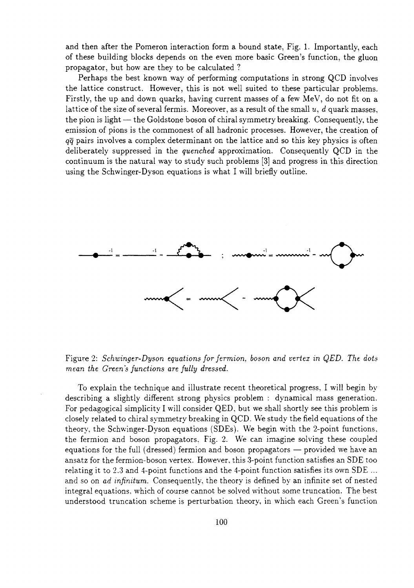and then after the Pomeron interaction form a bound state, Fig. 1. Importantly, each of these building blocks depends on the even more basic Green's function, the gluon propagator, but how are they to be calculated ?

Perhaps the best known way of performing computations in strong QCD involves the lattice construct. However, this is not well suited to these particular problems. Firstly, the up and down quarks, having current masses of a few MeV, do not fit on a lattice of the size of several fermis. Moreover, as a result of the small *u, d* quark masses, the pion is light — the Goldstone boson of chiral symmetry breaking. Consequently, the emission of pions is the commonest of all hadronic processes. However, the creation of *qq* pairs involves a complex determinant on the lattice and so this key physics is often deliberately suppressed in the *quenched* approximation. Consequently QCD in the continuum is the natural way to study such problems [3] and progress in this direction using the Schwinger-Dyson equations is what I will briefly outline.



Figure 2: *Schwinger-Dyson equations for fermion, boson and vertex in QED. The dots mean the Green's functions are fully dressed.*

To explain the technique and illustrate recent theoretical progress, I will begin by describing a slightly different strong physics problem : dynamical mass generation. For pedagogical simplicity I will consider QED, but we shall shortly see this problem is closely related to chiral symmetry breaking in QCD. We study the field equations of the theory, the Schwinger-Dyson equations (SDEs). We begin with the 2-point functions, the fermion and boson propagators. Fig. 2. We can imagine solving these coupled equations for the full (dressed) fermion and boson propagators — provided we have an ansatz for the fermion-boson vertex. However, this 3-point function satisfies an SDE too relating it to 2.3 and 4-point functions and the 4-point function satisfies its own SDE ... and so on *ad infinitum.* Consequently, the theory is defined by an infinite set of nested integral equations, which of course cannot be solved without some truncation. The best understood truncation scheme is perturbation theory, in which each Green's function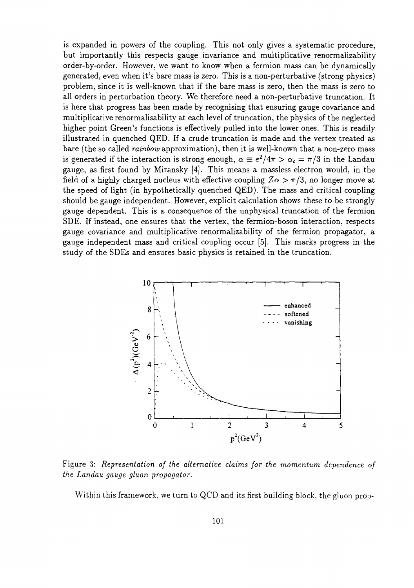is expanded in powers of the coupling. This not only gives a systematic procedure, but importantly this respects gauge invariance and multiplicative renormalizability order-by-order. However, we want to know when a fermion mass can be dynamically generated, even when it's bare mass is zero. This is a non-perturbative (strong physics) problem, since it is well-known that if the bare mass is zero, then the mass is zero to all orders in perturbation theory. We therefore need a non-perturbative truncation. It is here that progress has been made by recognising that ensuring gauge covariance and multiplicative renormalisability at each level of truncation, the physics of the neglected higher point Green's functions is effectively pulled into the lower ones. This is readily illustrated in quenched QED. If a crude truncation is made and the vertex treated as bare (the so called *rainbow* approximation), then it is well-known that a non-zero mass is generated if the interaction is strong enough,  $\alpha = e^2/4\pi > \alpha_c = \pi/3$  in the Landau gauge, as first found by Miransky [4]. This means a massless electron would, in the field of a highly charged nucleus with effective coupling  $Z\alpha > \pi/3$ , no longer move at the speed of light (in hypothetically quenched QED). The mass and critical coupling should be gauge independent. However, explicit calculation shows these to be strongly gauge dependent. This is a consequence of the unphysical truncation of the fermion SDE. If instead, one ensures that the vertex, the fermion-boson interaction, respects gauge covariance and multiplicative renormalizability of the fermion propagator, a gauge independent mass and critical coupling occur [5]. This marks progress in the study of the SDEs and ensures basic physics is retained in the truncation.



Figure 3: *Representation of the alternative claims for the momentum dependence of the Landau gauge gluon propagator.*

Within this framework, we turn to QCD and its first building block, the gluon prop-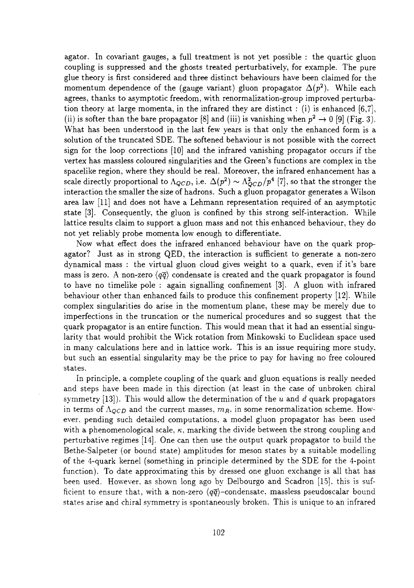agator. In covariant gauges, a full treatment is not yet possible : the quartic gluon coupling is suppressed and the ghosts treated perturbatively, for example. The pure glue theory is first considered and three distinct behaviours have been claimed for the momentum dependence of the (gauge variant) gluon propagator  $\Delta(p^2)$ . While each agrees, thanks to asymptotic freedom, with renormalization-group improved perturbation theory at large momenta, in the infrared they are distinct : (i) is enhanced  $[6,7]$ , (ii) is softer than the bare propagator [8] and (iii) is vanishing when  $p^2 \to 0$  [9] (Fig. 3). What has been understood in the last few years is that only the enhanced form is a solution of the truncated SDE. The softened behaviour is not possible with the correct sign for the loop corrections [10] and the infrared vanishing propagator occurs if the vertex has massless coloured singularities and the Green's functions are complex in the spacelike region, where they should be real. Moreover, the infrared enhancement has a scale directly proportional to  $\Lambda_{QCD}$ , i.e.  $\Delta(p^2) \sim \Lambda_{QCD}^2/p^4$  [7], so that the stronger the interaction the smaller the size of hadrons. Such a gluon propagator generates a Wilson area law [11] and does not have a Lehmann representation required of an asymptotic state [3]. Consequently, the gluon is confined by this strong self-interaction. While lattice results claim to support a gluon mass and not this enhanced behaviour, they do not yet reliably probe momenta low enough to differentiate.

Now what effect does the infrared enhanced behaviour have on the quark propagator? Just as in strong QED, the interaction is sufficient to generate a non-zero dynamical mass : the virtual gluon cloud gives weight to a quark, even if it's bare mass is zero. A non-zero  $\langle q\bar{q} \rangle$  condensate is created and the quark propagator is found to have no timelike pole : again signalling confinement [3]. A gluon with infrared behaviour other than enhanced fails to produce this confinement property [12]. While complex singularities do arise in the momentum plane, these may be merely due to imperfections in the truncation or the numerical procedures and so suggest that the quark propagator is an entire function. This would mean that it had an essential singularity that would prohibit the Wick rotation from Minkowski to Euclidean space used in many calculations here and in lattice work. This is an issue requiring more study, but such an essential singularity may be the price to pay for having no free coloured states.

In principle, a complete coupling of the quark and gluon equations is really needed and steps have been made in this direction (at least in the case of unbroken chiral symmetry [13]). This would allow the determination of the *u* and *d* quark propagators in terms of  $\Lambda_{QCD}$  and the current masses,  $m_R$ , in some renormalization scheme. However, pending such detailed computations, a model gluon propagator has been used with a phenomenological scale,  $\kappa$ , marking the divide between the strong coupling and perturbative regimes [14]. One can then use the output quark propagator to build the Bethe-Salpeter (or bound state) amplitudes for meson states by a suitable modelling of the 4-quark kernel (something in principle determined by the SDE for the 4-point function). To date approximating this by dressed one gluon exchange is all that has been used. However, as shown long ago by Delbourgo and Scadron [15], this is sufficient to ensure that, with a non-zero  $\langle q\bar{q}\rangle$ -condensate, massless pseudoscalar bound states arise and chiral symmetry is spontaneously broken. This is unique to an infrared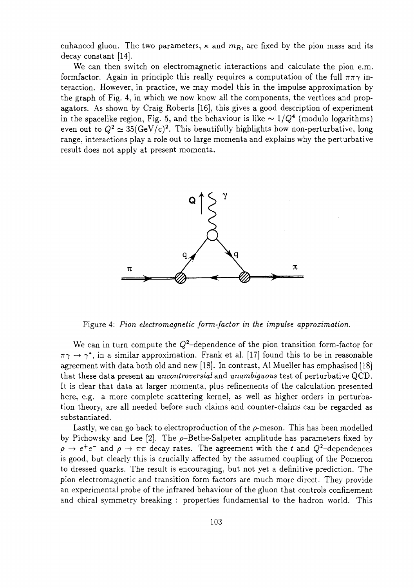enhanced gluon. The two parameters,  $\kappa$  and  $m_R$ , are fixed by the pion mass and its decay constant [14].

We can then switch on electromagnetic interactions and calculate the pion e.m. formfactor. Again in principle this really requires a computation of the full  $\pi\pi\gamma$  interaction. However, in practice, we may model this in the impulse approximation by the graph of Fig. 4, in which we now know all the components, the vertices and propagators. As shown by Craig Roberts [16], this gives a good description of experiment in the spacelike region, Fig. 5, and the behaviour is like  $\sim 1/Q^4$  (modulo logarithms) even out to  $Q^2 \simeq 35 ({\rm GeV/c})^2.$  This beautifully highlights how non-perturbative, long range, interactions play a role out to large momenta and explains why the perturbative result does not apply at present momenta.



Figure 4: *Pion electromagnetic form-factor in the impulse approximation.*

We can in turn compute the  $Q^2$ -dependence of the pion transition form-factor for  $\pi\gamma \rightarrow \gamma^*$ , in a similar approximation. Frank et al. [17] found this to be in reasonable agreement with data both old and new [18]. In contrast, Al Mueller has emphasised [18] that these data present an *uncontroversial* and *unambiguous* test of perturbative QCD. It is clear that data at larger momenta, plus refinements of the calculation presented here, e.g. a more complete scattering kernel, as well as higher orders in perturbation theory, are all needed before such claims and counter-claims can be regarded as substantiated.

Lastly, we can go back to electroproduction of the  $\rho$ -meson. This has been modelled by Pichowsky and Lee  $[2]$ . The  $\rho$ -Bethe-Salpeter amplitude has parameters fixed by  $\rho \rightarrow e^+e^-$  and  $\rho \rightarrow \pi\pi$  decay rates. The agreement with the *t* and  $Q^2$ -dependences is good, but clearly this is crucially affected by the assumed coupling of the Pomeron to dressed quarks. The result is encouraging, but not yet a definitive prediction. The pion electromagnetic and transition form-factors are much more direct. They provide an experimental probe of the infrared behaviour of the gluon that controls confinement and chiral symmetry breaking : properties fundamental to the hadron world. This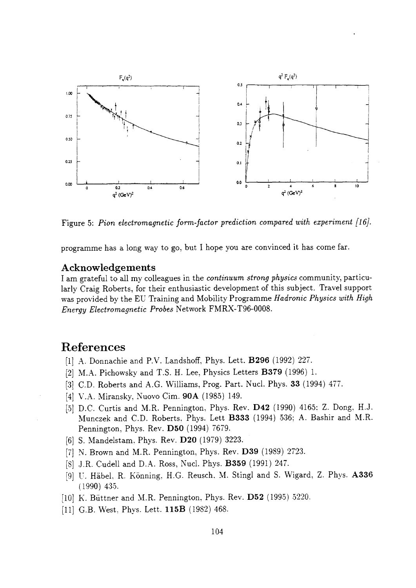

Figure 5: *Pion electromagnetic form-factor prediction compared with experiment [16].*

programme has a long way to go, but I hope you are convinced it has come far.

## Acknowledgements

I am grateful to all my colleagues in the *continuum strong physics* community, particularly Craig Roberts, for their enthusiastic development of this subject. Travel support was provided by the EU Training and Mobility Programme *Hadronic Physics with High Energy Electromagnetic Probes* Network FMRX-T96-0008.

## References

- [1] A. Donnachie and P.V. Landshoff, Phys. Lett. **B296** (1992) 227.
- [2] M.A. Pichowsky and T.S. H. Lee, Physics Letters **B379** (1996) 1.
- [3] CD. Roberts and A.G. Williams, Prog. Part. Nucl. Phys. **33** (1994) 477.
- [4] V.A. Miransky, Nuovo Cim. **90A** (1985) 149.
- [5] D.C. Curtis and M.R. Pennington, Phys. Rev. **D42** (1990) 4165: Z. Dong, H.J. Munczek and CD. Roberts. Phys. Lett **B333** (1994) 536; A. Bashir and M.R. Pennington, Phys. Rev. **D50** (1994) 7679.
- [6] S. Mandelstam. Phys. Rev. **D20** (1979) 3223.
- [7] N. Brown and M.R. Pennington, Phys. Rev. **D39** (1989) 2723.
- [8] J.R. Cudell and D.A. Ross, Nucl. Phys. **B359** (1991) 247.
- [9] U. Habel. R. Konning, H.G. Reusch, M. Stingl and S. Wigard, Z. Phys. A336 (1990) 435.
- [10] K. Buttner and M.R. Pennington, Phys. Rev. **D52** (1995) 5220.
- [11] G.B. West, Phys. Lett. **115B** (1982) 468.